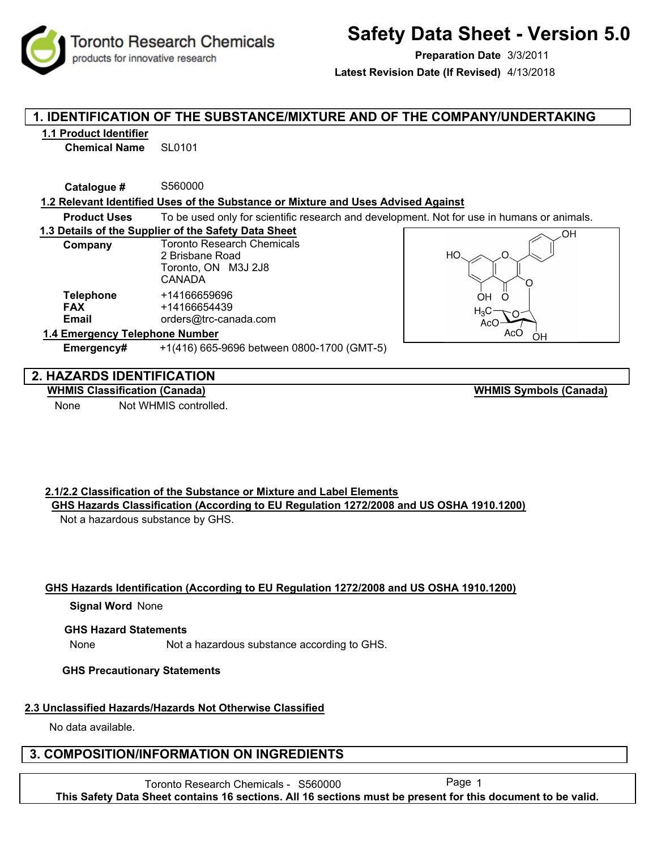**Toronto Research Chemicals** products for innovative research

# **Safety Data Sheet - Version 5.0**

**Preparation Date** 3/3/2011

**Latest Revision Date (If Revised)** 4/13/2018

# **1. IDENTIFICATION OF THE SUBSTANCE/MIXTURE AND OF THE COMPANY/UNDERTAKING**

#### **1.1 Product Identifier**

**Chemical Name** SL0101

**Catalogue #** S560000

**1.2 Relevant Identified Uses of the Substance or Mixture and Uses Advised Against**

**Product Uses** To be used only for scientific research and development. Not for use in humans or animals.

**1.3 Details of the Supplier of the Safety Data Sheet**

| Company                                        | <b>Toronto Research Chemicals</b><br>2 Brisbane Road<br>Toronto, ON M3J 2J8<br><b>CANADA</b> |
|------------------------------------------------|----------------------------------------------------------------------------------------------|
| <b>Telephone</b><br><b>FAX</b><br><b>Email</b> | +14166659696<br>+14166654439<br>orders@trc-canada.com                                        |
| 1.4 Emergency Telephone Number                 |                                                                                              |

**Emergency#** +1(416) 665-9696 between 0800-1700 (GMT-5)



## **2. HAZARDS IDENTIFICATION**

**WHMIS Classification (Canada)**

None Not WHMIS controlled.

**WHMIS Symbols (Canada)**

#### **2.1/2.2 Classification of the Substance or Mixture and Label Elements GHS Hazards Classification (According to EU Regulation 1272/2008 and US OSHA 1910.1200)**

Not a hazardous substance by GHS.

#### **GHS Hazards Identification (According to EU Regulation 1272/2008 and US OSHA 1910.1200)**

#### **Signal Word None**

#### **GHS Hazard Statements**

None Not a hazardous substance according to GHS.

#### **GHS Precautionary Statements**

# **2.3 Unclassified Hazards/Hazards Not Otherwise Classified**

No data available.

# **3. COMPOSITION/INFORMATION ON INGREDIENTS**

Toronto Research Chemicals - S560000 Page 1 **This Safety Data Sheet contains 16 sections. All 16 sections must be present for this document to be valid.**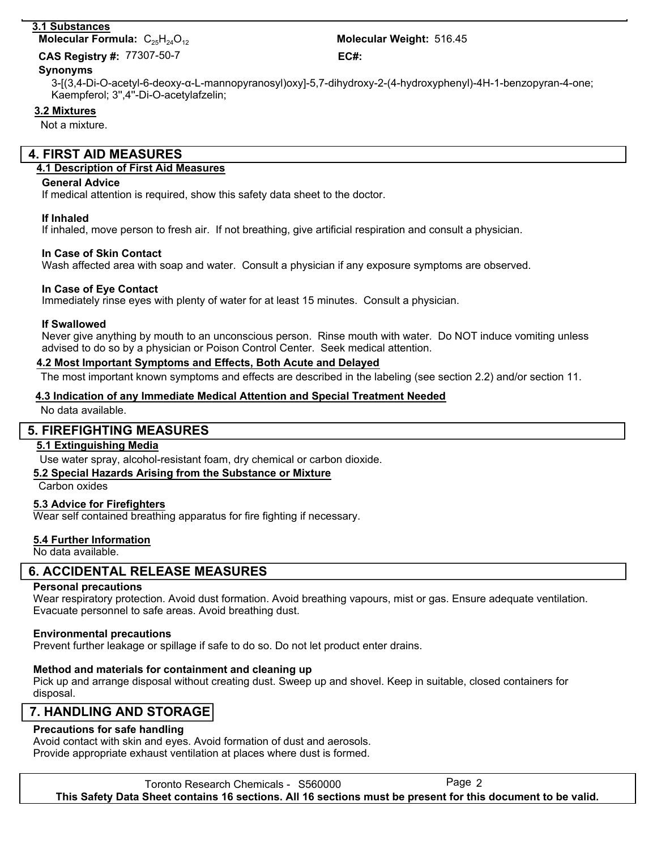## **3.1 Substances**

# **Molecular Formula:**  $C_{25}H_{24}O_{12}$

77307-50-7 **CAS Registry #: EC#:**

#### **Synonyms**

3-[(3,4-Di-O-acetyl-6-deoxy-α-L-mannopyranosyl)oxy]-5,7-dihydroxy-2-(4-hydroxyphenyl)-4H-1-benzopyran-4-one; Kaempferol; 3'',4''-Di-O-acetylafzelin;

### **3.2 Mixtures**

Not a mixture.

# **4. FIRST AID MEASURES**

### **4.1 Description of First Aid Measures**

#### **General Advice**

If medical attention is required, show this safety data sheet to the doctor.

#### **If Inhaled**

If inhaled, move person to fresh air. If not breathing, give artificial respiration and consult a physician.

#### **In Case of Skin Contact**

Wash affected area with soap and water. Consult a physician if any exposure symptoms are observed.

#### **In Case of Eye Contact**

Immediately rinse eyes with plenty of water for at least 15 minutes. Consult a physician.

#### **If Swallowed**

Never give anything by mouth to an unconscious person. Rinse mouth with water. Do NOT induce vomiting unless advised to do so by a physician or Poison Control Center. Seek medical attention.

#### **4.2 Most Important Symptoms and Effects, Both Acute and Delayed**

The most important known symptoms and effects are described in the labeling (see section 2.2) and/or section 11.

#### **4.3 Indication of any Immediate Medical Attention and Special Treatment Needed**

No data available.

#### **5. FIREFIGHTING MEASURES**

#### **5.1 Extinguishing Media**

Use water spray, alcohol-resistant foam, dry chemical or carbon dioxide.

#### **5.2 Special Hazards Arising from the Substance or Mixture**

Carbon oxides

#### **5.3 Advice for Firefighters**

Wear self contained breathing apparatus for fire fighting if necessary.

#### **5.4 Further Information**

No data available.

## **6. ACCIDENTAL RELEASE MEASURES**

#### **Personal precautions**

Wear respiratory protection. Avoid dust formation. Avoid breathing vapours, mist or gas. Ensure adequate ventilation. Evacuate personnel to safe areas. Avoid breathing dust.

#### **Environmental precautions**

Prevent further leakage or spillage if safe to do so. Do not let product enter drains.

## **Method and materials for containment and cleaning up**

Pick up and arrange disposal without creating dust. Sweep up and shovel. Keep in suitable, closed containers for disposal.

# **7. HANDLING AND STORAGE**

# **Precautions for safe handling**

Avoid contact with skin and eyes. Avoid formation of dust and aerosols. Provide appropriate exhaust ventilation at places where dust is formed.

Toronto Research Chemicals - S560000 Page 2 **This Safety Data Sheet contains 16 sections. All 16 sections must be present for this document to be valid.**

Molecular Weight: 516.45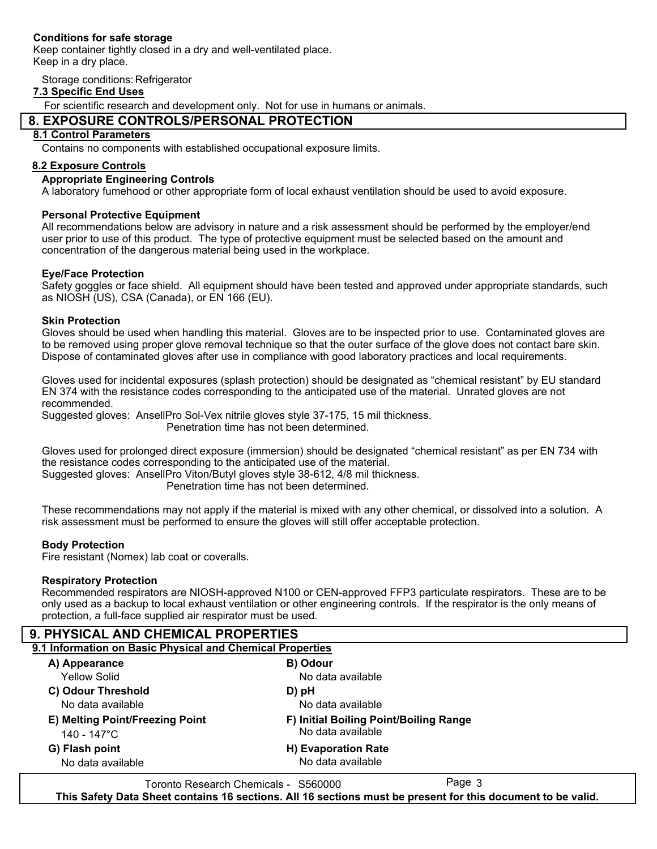#### **Conditions for safe storage**

Keep container tightly closed in a dry and well-ventilated place. Keep in a dry place.

Storage conditions: Refrigerator

#### **7.3 Specific End Uses**

For scientific research and development only. Not for use in humans or animals.

## **8. EXPOSURE CONTROLS/PERSONAL PROTECTION**

#### **8.1 Control Parameters**

Contains no components with established occupational exposure limits.

#### **8.2 Exposure Controls**

#### **Appropriate Engineering Controls**

A laboratory fumehood or other appropriate form of local exhaust ventilation should be used to avoid exposure.

#### **Personal Protective Equipment**

All recommendations below are advisory in nature and a risk assessment should be performed by the employer/end user prior to use of this product. The type of protective equipment must be selected based on the amount and concentration of the dangerous material being used in the workplace.

#### **Eye/Face Protection**

Safety goggles or face shield. All equipment should have been tested and approved under appropriate standards, such as NIOSH (US), CSA (Canada), or EN 166 (EU).

#### **Skin Protection**

Gloves should be used when handling this material. Gloves are to be inspected prior to use. Contaminated gloves are to be removed using proper glove removal technique so that the outer surface of the glove does not contact bare skin. Dispose of contaminated gloves after use in compliance with good laboratory practices and local requirements.

Gloves used for incidental exposures (splash protection) should be designated as "chemical resistant" by EU standard EN 374 with the resistance codes corresponding to the anticipated use of the material. Unrated gloves are not recommended.

Suggested gloves: AnsellPro Sol-Vex nitrile gloves style 37-175, 15 mil thickness.

Penetration time has not been determined.

Gloves used for prolonged direct exposure (immersion) should be designated "chemical resistant" as per EN 734 with the resistance codes corresponding to the anticipated use of the material.

Suggested gloves: AnsellPro Viton/Butyl gloves style 38-612, 4/8 mil thickness.

Penetration time has not been determined.

These recommendations may not apply if the material is mixed with any other chemical, or dissolved into a solution. A risk assessment must be performed to ensure the gloves will still offer acceptable protection.

#### **Body Protection**

Fire resistant (Nomex) lab coat or coveralls.

#### **Respiratory Protection**

Recommended respirators are NIOSH-approved N100 or CEN-approved FFP3 particulate respirators. These are to be only used as a backup to local exhaust ventilation or other engineering controls. If the respirator is the only means of protection, a full-face supplied air respirator must be used.

| <b>9. PHYSICAL AND CHEMICAL PROPERTIES</b>                |                                                             |  |
|-----------------------------------------------------------|-------------------------------------------------------------|--|
| 9.1 Information on Basic Physical and Chemical Properties |                                                             |  |
| A) Appearance                                             | B) Odour                                                    |  |
| <b>Yellow Solid</b>                                       | No data available                                           |  |
| C) Odour Threshold                                        | D) pH                                                       |  |
| No data available                                         | No data available                                           |  |
| E) Melting Point/Freezing Point                           | F) Initial Boiling Point/Boiling Range<br>No data available |  |
| 140 - 147°C                                               |                                                             |  |
| G) Flash point                                            | H) Evaporation Rate                                         |  |
| No data available                                         | No data available                                           |  |
|                                                           | $D - 2 - 2$                                                 |  |

Toronto Research Chemicals - S560000 Page 3 **This Safety Data Sheet contains 16 sections. All 16 sections must be present for this document to be valid.**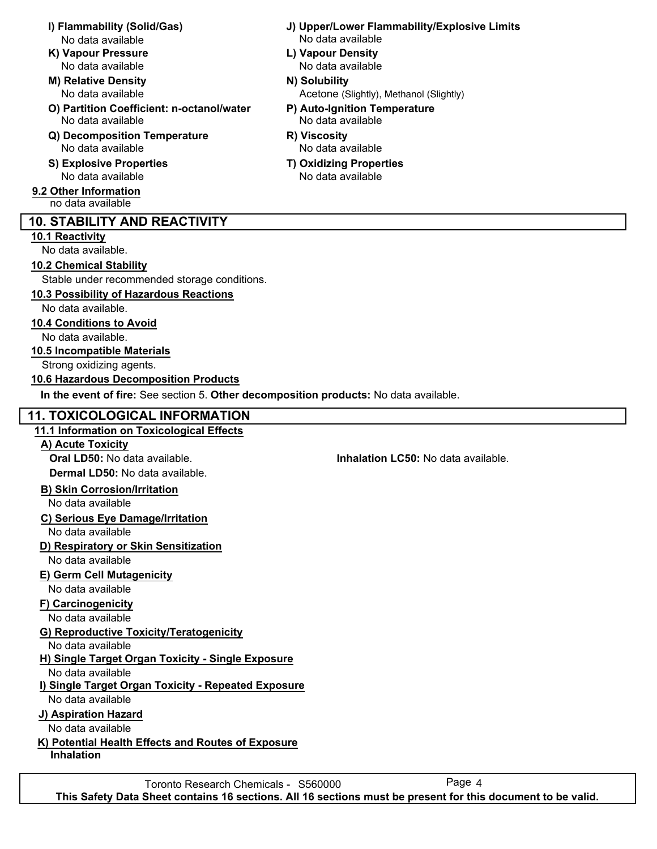- No data available No data available
- **K) Vapour Pressure L) Vapour Density**
- **M) Relative Density N) Solubility** No data available
- **O) Partition Coefficient: n-octanol/water P) Auto-Ignition Temperature** No data available No data available
- **Q) Decomposition Temperature R) Viscosity** No data available No data available
- **S) Explosive Properties T) Oxidizing Properties** No data available No data available
- **9.2 Other Information** no data available

# **10. STABILITY AND REACTIVITY**

## **10.1 Reactivity**

No data available.

## **10.2 Chemical Stability**

Stable under recommended storage conditions.

# **10.3 Possibility of Hazardous Reactions**

No data available.

## **10.4 Conditions to Avoid**

No data available.

## **10.5 Incompatible Materials**

Strong oxidizing agents.

## **10.6 Hazardous Decomposition Products**

**In the event of fire:** See section 5. **Other decomposition products:** No data available.

# **11. TOXICOLOGICAL INFORMATION**

## **11.1 Information on Toxicological Effects**

## **A) Acute Toxicity**

**Oral LD50:** No data available. **Inhalation LC50:** No data available. **Dermal LD50:** No data available.

## **B) Skin Corrosion/Irritation**

No data available

## **C) Serious Eye Damage/Irritation**

No data available

## **D) Respiratory or Skin Sensitization**

No data available

# **E) Germ Cell Mutagenicity**

No data available

# **F) Carcinogenicity**

No data available

# **G) Reproductive Toxicity/Teratogenicity**

No data available

# **H) Single Target Organ Toxicity - Single Exposure**

No data available

## **I) Single Target Organ Toxicity - Repeated Exposure**

No data available

## **J) Aspiration Hazard**

No data available

# **K) Potential Health Effects and Routes of Exposure**

**Inhalation**

- **I) Flammability (Solid/Gas) J) Upper/Lower Flammability/Explosive Limits**
	- No data available No data available
		- Acetone (Slightly), Methanol (Slightly)
		- -
		-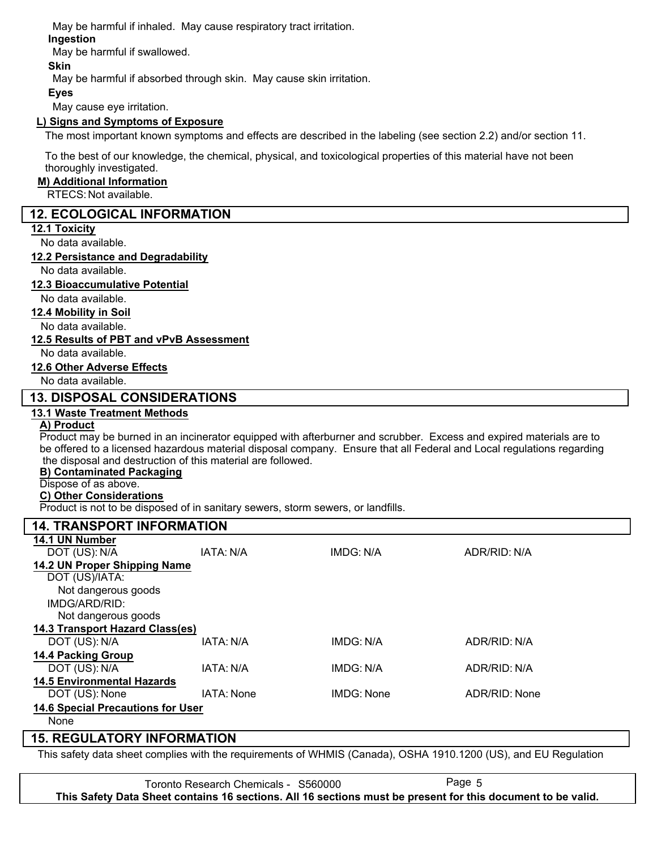May be harmful if inhaled. May cause respiratory tract irritation.

## **Ingestion**

May be harmful if swallowed.

## **Skin**

May be harmful if absorbed through skin. May cause skin irritation.

#### **Eyes**

May cause eye irritation.

### **L) Signs and Symptoms of Exposure**

The most important known symptoms and effects are described in the labeling (see section 2.2) and/or section 11.

To the best of our knowledge, the chemical, physical, and toxicological properties of this material have not been thoroughly investigated.

#### **M) Additional Information**

RTECS: Not available.

## **12. ECOLOGICAL INFORMATION**

#### **12.1 Toxicity**

No data available.

#### **12.2 Persistance and Degradability**

No data available.

#### **12.3 Bioaccumulative Potential**

No data available.

#### **12.4 Mobility in Soil**

No data available.

#### **12.5 Results of PBT and vPvB Assessment**

No data available.

#### **12.6 Other Adverse Effects**

No data available.

## **13. DISPOSAL CONSIDERATIONS**

#### **13.1 Waste Treatment Methods**

# **A) Product**

Product may be burned in an incinerator equipped with afterburner and scrubber. Excess and expired materials are to be offered to a licensed hazardous material disposal company. Ensure that all Federal and Local regulations regarding the disposal and destruction of this material are followed.

### **B) Contaminated Packaging**

# Dispose of as above.

**C) Other Considerations**

Product is not to be disposed of in sanitary sewers, storm sewers, or landfills.

#### **14. TRANSPORT INFORMATION 14.1 UN Number** DOT (US): N/A IATA: N/A IMDG: N/A ADR/RID: N/A **14.2 UN Proper Shipping Name** DOT (US)/IATA: IMDG/ARD/RID: Not dangerous goods Not dangerous goods **14.3 Transport Hazard Class(es)** DOT (US): N/A IATA: N/A IMDG: N/A ADR/RID: N/A **14.4 Packing Group** DOT (US): N/A IATA: N/A IMDG: N/A IMDG: N/A ADR/RID: N/A **14.5 Environmental Hazards** DOT (US): None IATA: None IMDG: None ADR/RID: None **14.6 Special Precautions for User** None

# **15. REGULATORY INFORMATION**

This safety data sheet complies with the requirements of WHMIS (Canada), OSHA 1910.1200 (US), and EU Regulation

Toronto Research Chemicals - S560000 Page 5 **This Safety Data Sheet contains 16 sections. All 16 sections must be present for this document to be valid.**